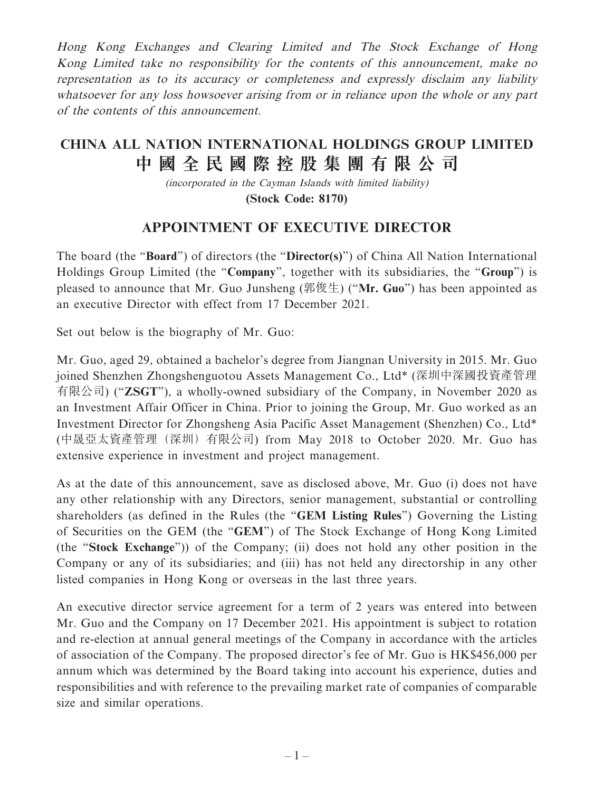Hong Kong Exchanges and Clearing Limited and The Stock Exchange of Hong Kong Limited take no responsibility for the contents of this announcement, make no representation as to its accuracy or completeness and expressly disclaim any liability whatsoever for any loss howsoever arising from or in reliance upon the whole or any part of the contents of this announcement.

## **CHINA ALL NATION INTERNATIONAL HOLDINGS GROUP LIMITED 中國全民國際控股集團有限公司**

(incorporated in the Cayman Islands with limited liability) **(Stock Code: 8170)**

## **APPOINTMENT OF EXECUTIVE DIRECTOR**

The board (the "**Board**") of directors (the "**Director(s)**") of China All Nation International Holdings Group Limited (the "**Company**", together with its subsidiaries, the "**Group**") is pleased to announce that Mr. Guo Junsheng (郭俊生) ("**Mr. Guo**") has been appointed as an executive Director with effect from 17 December 2021.

Set out below is the biography of Mr. Guo:

Mr. Guo, aged 29, obtained a bachelor's degree from Jiangnan University in 2015. Mr. Guo joined Shenzhen Zhongshenguotou Assets Management Co., Ltd\* (深圳中深國投資產管理 有限公司) ("**ZSGT**"), a wholly-owned subsidiary of the Company, in November 2020 as an Investment Affair Officer in China. Prior to joining the Group, Mr. Guo worked as an Investment Director for Zhongsheng Asia Pacific Asset Management (Shenzhen) Co., Ltd\* (中晟亞太資產管理(深圳)有限公司) from May 2018 to October 2020. Mr. Guo has extensive experience in investment and project management.

As at the date of this announcement, save as disclosed above, Mr. Guo (i) does not have any other relationship with any Directors, senior management, substantial or controlling shareholders (as defined in the Rules (the "**GEM Listing Rules**") Governing the Listing of Securities on the GEM (the "**GEM**") of The Stock Exchange of Hong Kong Limited (the "**Stock Exchange**")) of the Company; (ii) does not hold any other position in the Company or any of its subsidiaries; and (iii) has not held any directorship in any other listed companies in Hong Kong or overseas in the last three years.

An executive director service agreement for a term of 2 years was entered into between Mr. Guo and the Company on 17 December 2021. His appointment is subject to rotation and re-election at annual general meetings of the Company in accordance with the articles of association of the Company. The proposed director's fee of Mr. Guo is HK\$456,000 per annum which was determined by the Board taking into account his experience, duties and responsibilities and with reference to the prevailing market rate of companies of comparable size and similar operations.